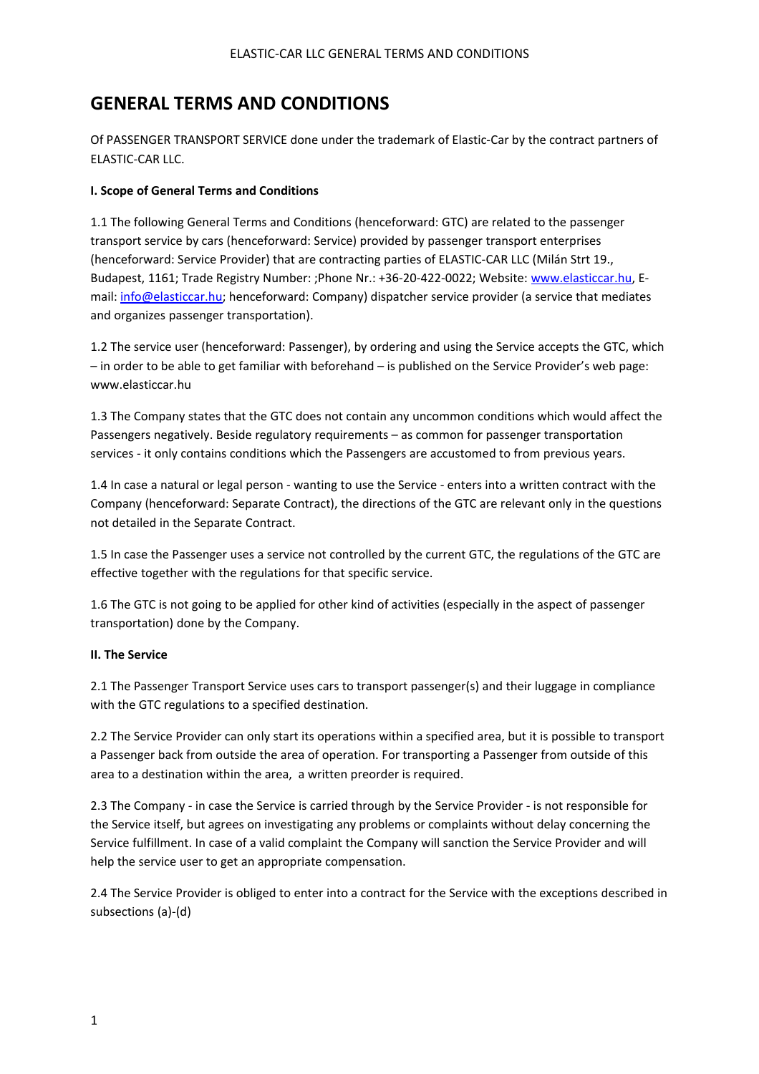# **GENERAL TERMS AND CONDITIONS**

Of PASSENGER TRANSPORT SERVICE done under the trademark of Elastic-Car by the contract partners of ELASTIC-CAR LLC.

# **I. Scope of General Terms and Conditions**

1.1 The following General Terms and Conditions (henceforward: GTC) are related to the passenger transport service by cars (henceforward: Service) provided by passenger transport enterprises (henceforward: Service Provider) that are contracting parties of ELASTIC-CAR LLC (Milán Strt 19., Budapest, 1161; Trade Registry Number: ;Phone Nr.: +36-20-422-0022; Website: [www.elasticcar.hu,](http://www.elasticcar.hu/) Email: [info@elasticcar.hu;](mailto:info@elasticcar.hu) henceforward: Company) dispatcher service provider (a service that mediates and organizes passenger transportation).

1.2 The service user (henceforward: Passenger), by ordering and using the Service accepts the GTC, which – in order to be able to get familiar with beforehand – is published on the Service Provider's web page: www.elasticcar.hu

1.3 The Company states that the GTC does not contain any uncommon conditions which would affect the Passengers negatively. Beside regulatory requirements – as common for passenger transportation services - it only contains conditions which the Passengers are accustomed to from previous years.

1.4 In case a natural or legal person - wanting to use the Service - enters into a written contract with the Company (henceforward: Separate Contract), the directions of the GTC are relevant only in the questions not detailed in the Separate Contract.

1.5 In case the Passenger uses a service not controlled by the current GTC, the regulations of the GTC are effective together with the regulations for that specific service.

1.6 The GTC is not going to be applied for other kind of activities (especially in the aspect of passenger transportation) done by the Company.

## **II. The Service**

2.1 The Passenger Transport Service uses cars to transport passenger(s) and their luggage in compliance with the GTC regulations to a specified destination.

2.2 The Service Provider can only start its operations within a specified area, but it is possible to transport a Passenger back from outside the area of operation. For transporting a Passenger from outside of this area to a destination within the area, a written preorder is required.

2.3 The Company - in case the Service is carried through by the Service Provider - is not responsible for the Service itself, but agrees on investigating any problems or complaints without delay concerning the Service fulfillment. In case of a valid complaint the Company will sanction the Service Provider and will help the service user to get an appropriate compensation.

2.4 The Service Provider is obliged to enter into a contract for the Service with the exceptions described in subsections (a)-(d)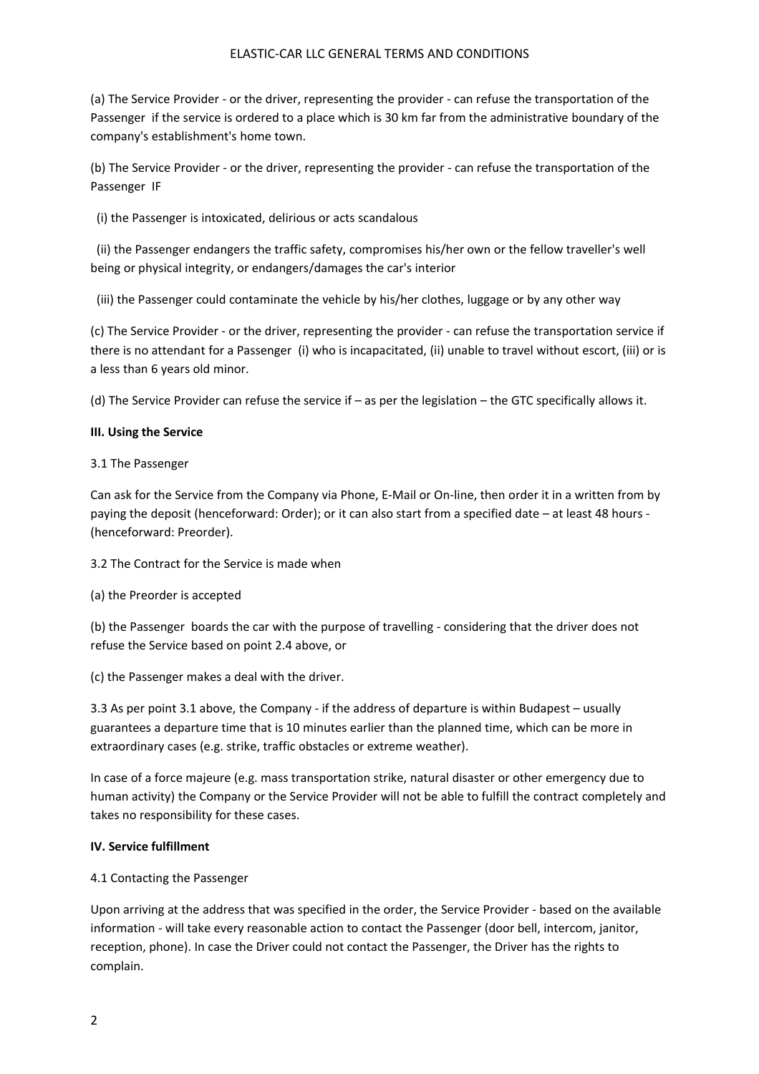(a) The Service Provider - or the driver, representing the provider - can refuse the transportation of the Passenger if the service is ordered to a place which is 30 km far from the administrative boundary of the company's establishment's home town.

(b) The Service Provider - or the driver, representing the provider - can refuse the transportation of the Passenger IF

(i) the Passenger is intoxicated, delirious or acts scandalous

 (ii) the Passenger endangers the traffic safety, compromises his/her own or the fellow traveller's well being or physical integrity, or endangers/damages the car's interior

(iii) the Passenger could contaminate the vehicle by his/her clothes, luggage or by any other way

(c) The Service Provider - or the driver, representing the provider - can refuse the transportation service if there is no attendant for a Passenger (i) who is incapacitated, (ii) unable to travel without escort, (iii) or is a less than 6 years old minor.

(d) The Service Provider can refuse the service if – as per the legislation – the GTC specifically allows it.

## **III. Using the Service**

# 3.1 The Passenger

Can ask for the Service from the Company via Phone, E-Mail or On-line, then order it in a written from by paying the deposit (henceforward: Order); or it can also start from a specified date – at least 48 hours - (henceforward: Preorder).

3.2 The Contract for the Service is made when

(a) the Preorder is accepted

(b) the Passenger boards the car with the purpose of travelling - considering that the driver does not refuse the Service based on point 2.4 above, or

(c) the Passenger makes a deal with the driver.

3.3 As per point 3.1 above, the Company - if the address of departure is within Budapest – usually guarantees a departure time that is 10 minutes earlier than the planned time, which can be more in extraordinary cases (e.g. strike, traffic obstacles or extreme weather).

In case of a force majeure (e.g. mass transportation strike, natural disaster or other emergency due to human activity) the Company or the Service Provider will not be able to fulfill the contract completely and takes no responsibility for these cases.

## **IV. Service fulfillment**

## 4.1 Contacting the Passenger

Upon arriving at the address that was specified in the order, the Service Provider - based on the available information - will take every reasonable action to contact the Passenger (door bell, intercom, janitor, reception, phone). In case the Driver could not contact the Passenger, the Driver has the rights to complain.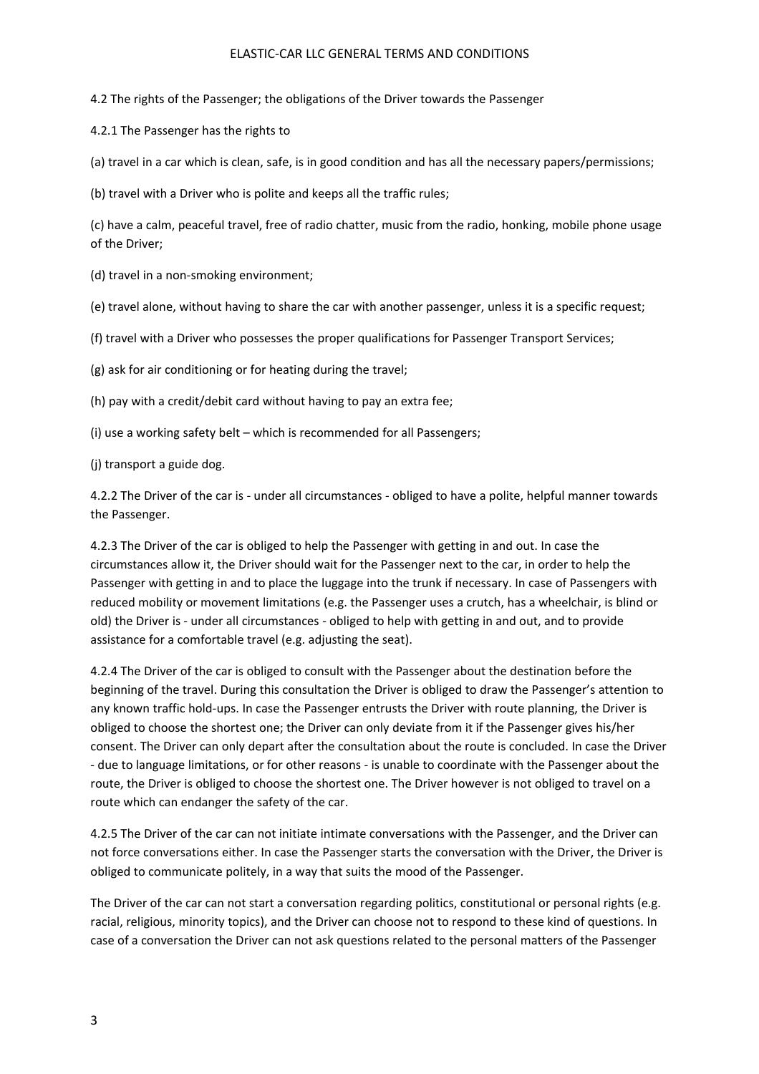4.2 The rights of the Passenger; the obligations of the Driver towards the Passenger

4.2.1 The Passenger has the rights to

(a) travel in a car which is clean, safe, is in good condition and has all the necessary papers/permissions;

(b) travel with a Driver who is polite and keeps all the traffic rules;

(c) have a calm, peaceful travel, free of radio chatter, music from the radio, honking, mobile phone usage of the Driver;

(d) travel in a non-smoking environment;

(e) travel alone, without having to share the car with another passenger, unless it is a specific request;

(f) travel with a Driver who possesses the proper qualifications for Passenger Transport Services;

(g) ask for air conditioning or for heating during the travel;

(h) pay with a credit/debit card without having to pay an extra fee;

(i) use a working safety belt – which is recommended for all Passengers;

(j) transport a guide dog.

4.2.2 The Driver of the car is - under all circumstances - obliged to have a polite, helpful manner towards the Passenger.

4.2.3 The Driver of the car is obliged to help the Passenger with getting in and out. In case the circumstances allow it, the Driver should wait for the Passenger next to the car, in order to help the Passenger with getting in and to place the luggage into the trunk if necessary. In case of Passengers with reduced mobility or movement limitations (e.g. the Passenger uses a crutch, has a wheelchair, is blind or old) the Driver is - under all circumstances - obliged to help with getting in and out, and to provide assistance for a comfortable travel (e.g. adjusting the seat).

4.2.4 The Driver of the car is obliged to consult with the Passenger about the destination before the beginning of the travel. During this consultation the Driver is obliged to draw the Passenger's attention to any known traffic hold-ups. In case the Passenger entrusts the Driver with route planning, the Driver is obliged to choose the shortest one; the Driver can only deviate from it if the Passenger gives his/her consent. The Driver can only depart after the consultation about the route is concluded. In case the Driver - due to language limitations, or for other reasons - is unable to coordinate with the Passenger about the route, the Driver is obliged to choose the shortest one. The Driver however is not obliged to travel on a route which can endanger the safety of the car.

4.2.5 The Driver of the car can not initiate intimate conversations with the Passenger, and the Driver can not force conversations either. In case the Passenger starts the conversation with the Driver, the Driver is obliged to communicate politely, in a way that suits the mood of the Passenger.

The Driver of the car can not start a conversation regarding politics, constitutional or personal rights (e.g. racial, religious, minority topics), and the Driver can choose not to respond to these kind of questions. In case of a conversation the Driver can not ask questions related to the personal matters of the Passenger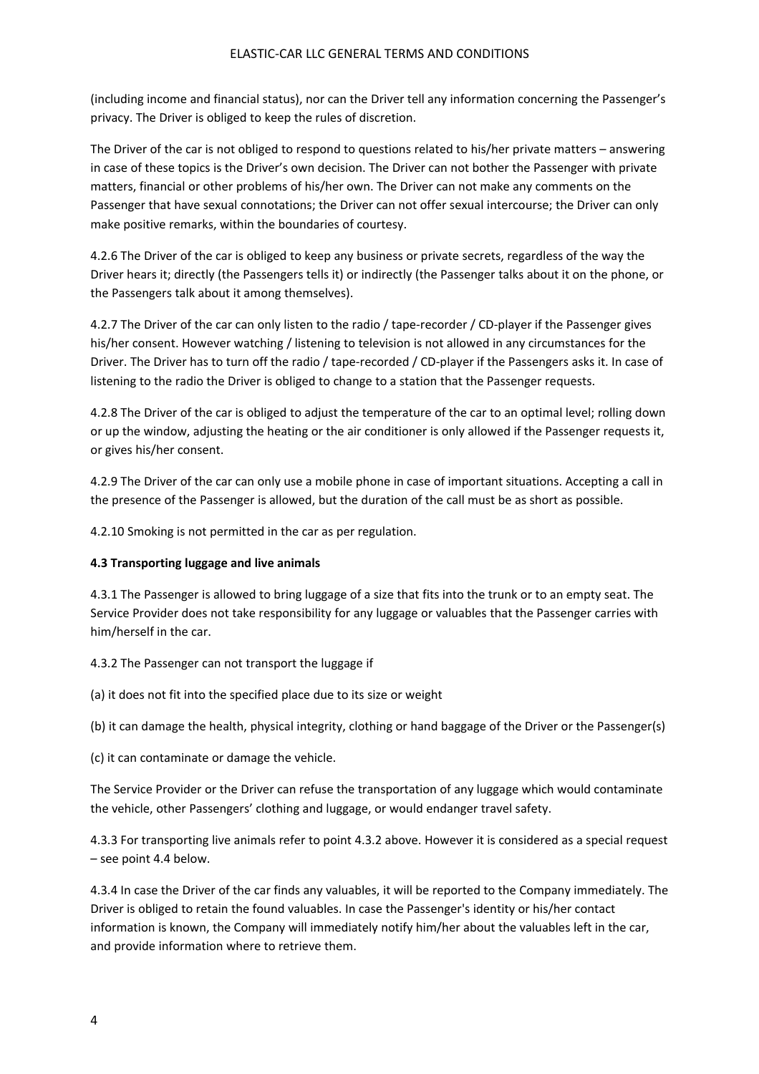(including income and financial status), nor can the Driver tell any information concerning the Passenger's privacy. The Driver is obliged to keep the rules of discretion.

The Driver of the car is not obliged to respond to questions related to his/her private matters – answering in case of these topics is the Driver's own decision. The Driver can not bother the Passenger with private matters, financial or other problems of his/her own. The Driver can not make any comments on the Passenger that have sexual connotations; the Driver can not offer sexual intercourse; the Driver can only make positive remarks, within the boundaries of courtesy.

4.2.6 The Driver of the car is obliged to keep any business or private secrets, regardless of the way the Driver hears it; directly (the Passengers tells it) or indirectly (the Passenger talks about it on the phone, or the Passengers talk about it among themselves).

4.2.7 The Driver of the car can only listen to the radio / tape-recorder / CD-player if the Passenger gives his/her consent. However watching / listening to television is not allowed in any circumstances for the Driver. The Driver has to turn off the radio / tape-recorded / CD-player if the Passengers asks it. In case of listening to the radio the Driver is obliged to change to a station that the Passenger requests.

4.2.8 The Driver of the car is obliged to adjust the temperature of the car to an optimal level; rolling down or up the window, adjusting the heating or the air conditioner is only allowed if the Passenger requests it, or gives his/her consent.

4.2.9 The Driver of the car can only use a mobile phone in case of important situations. Accepting a call in the presence of the Passenger is allowed, but the duration of the call must be as short as possible.

4.2.10 Smoking is not permitted in the car as per regulation.

## **4.3 Transporting luggage and live animals**

4.3.1 The Passenger is allowed to bring luggage of a size that fits into the trunk or to an empty seat. The Service Provider does not take responsibility for any luggage or valuables that the Passenger carries with him/herself in the car.

4.3.2 The Passenger can not transport the luggage if

(a) it does not fit into the specified place due to its size or weight

(b) it can damage the health, physical integrity, clothing or hand baggage of the Driver or the Passenger(s)

(c) it can contaminate or damage the vehicle.

The Service Provider or the Driver can refuse the transportation of any luggage which would contaminate the vehicle, other Passengers' clothing and luggage, or would endanger travel safety.

4.3.3 For transporting live animals refer to point 4.3.2 above. However it is considered as a special request – see point 4.4 below.

4.3.4 In case the Driver of the car finds any valuables, it will be reported to the Company immediately. The Driver is obliged to retain the found valuables. In case the Passenger's identity or his/her contact information is known, the Company will immediately notify him/her about the valuables left in the car, and provide information where to retrieve them.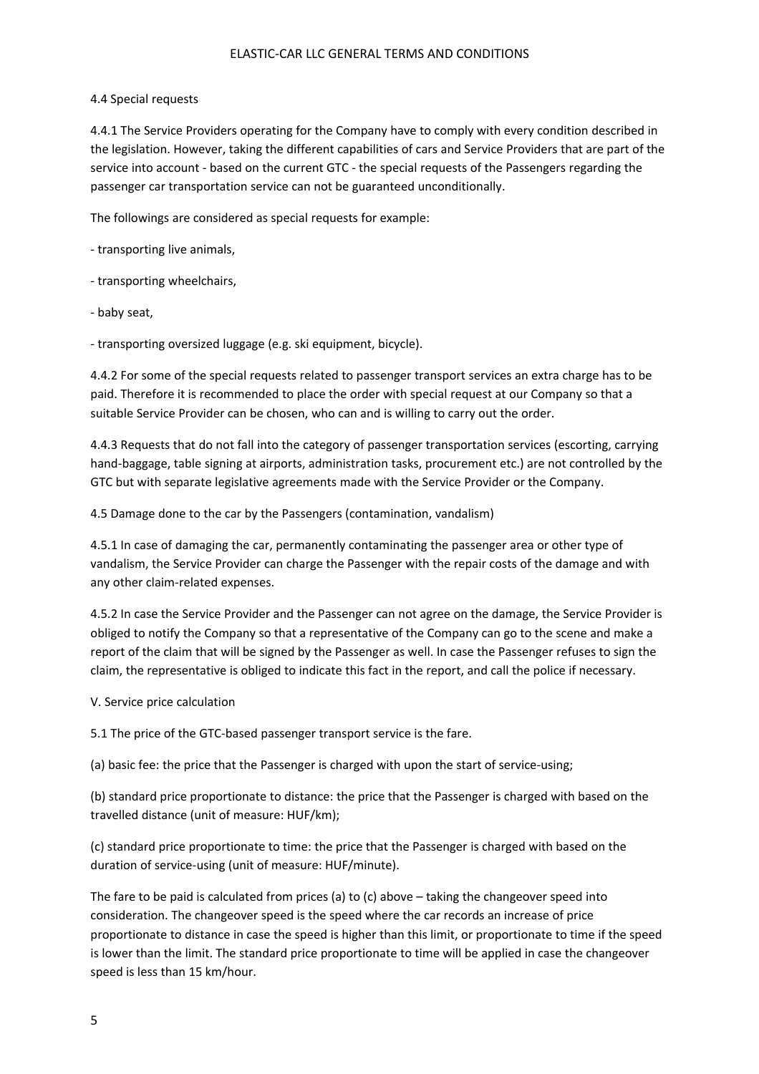#### 4.4 Special requests

4.4.1 The Service Providers operating for the Company have to comply with every condition described in the legislation. However, taking the different capabilities of cars and Service Providers that are part of the service into account - based on the current GTC - the special requests of the Passengers regarding the passenger car transportation service can not be guaranteed unconditionally.

The followings are considered as special requests for example:

- transporting live animals,

- transporting wheelchairs,

- baby seat,

- transporting oversized luggage (e.g. ski equipment, bicycle).

4.4.2 For some of the special requests related to passenger transport services an extra charge has to be paid. Therefore it is recommended to place the order with special request at our Company so that a suitable Service Provider can be chosen, who can and is willing to carry out the order.

4.4.3 Requests that do not fall into the category of passenger transportation services (escorting, carrying hand-baggage, table signing at airports, administration tasks, procurement etc.) are not controlled by the GTC but with separate legislative agreements made with the Service Provider or the Company.

4.5 Damage done to the car by the Passengers (contamination, vandalism)

4.5.1 In case of damaging the car, permanently contaminating the passenger area or other type of vandalism, the Service Provider can charge the Passenger with the repair costs of the damage and with any other claim-related expenses.

4.5.2 In case the Service Provider and the Passenger can not agree on the damage, the Service Provider is obliged to notify the Company so that a representative of the Company can go to the scene and make a report of the claim that will be signed by the Passenger as well. In case the Passenger refuses to sign the claim, the representative is obliged to indicate this fact in the report, and call the police if necessary.

V. Service price calculation

5.1 The price of the GTC-based passenger transport service is the fare.

(a) basic fee: the price that the Passenger is charged with upon the start of service-using;

(b) standard price proportionate to distance: the price that the Passenger is charged with based on the travelled distance (unit of measure: HUF/km);

(c) standard price proportionate to time: the price that the Passenger is charged with based on the duration of service-using (unit of measure: HUF/minute).

The fare to be paid is calculated from prices (a) to (c) above – taking the changeover speed into consideration. The changeover speed is the speed where the car records an increase of price proportionate to distance in case the speed is higher than this limit, or proportionate to time if the speed is lower than the limit. The standard price proportionate to time will be applied in case the changeover speed is less than 15 km/hour.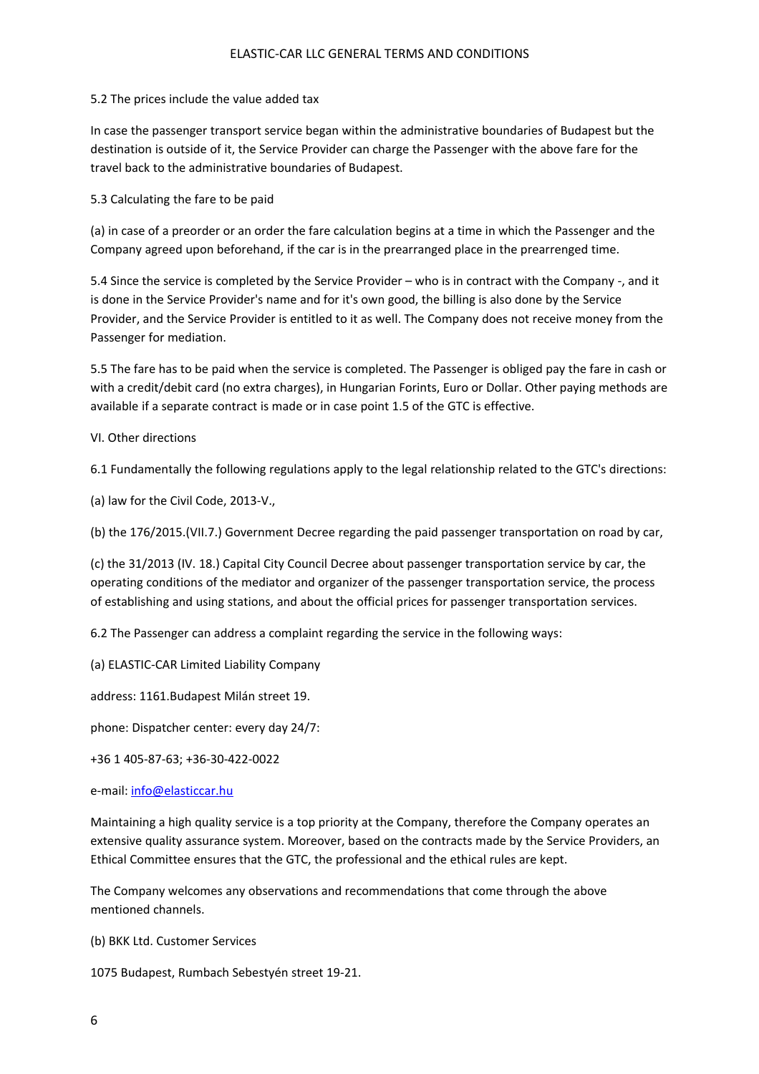#### 5.2 The prices include the value added tax

In case the passenger transport service began within the administrative boundaries of Budapest but the destination is outside of it, the Service Provider can charge the Passenger with the above fare for the travel back to the administrative boundaries of Budapest.

5.3 Calculating the fare to be paid

(a) in case of a preorder or an order the fare calculation begins at a time in which the Passenger and the Company agreed upon beforehand, if the car is in the prearranged place in the prearrenged time.

5.4 Since the service is completed by the Service Provider – who is in contract with the Company -, and it is done in the Service Provider's name and for it's own good, the billing is also done by the Service Provider, and the Service Provider is entitled to it as well. The Company does not receive money from the Passenger for mediation.

5.5 The fare has to be paid when the service is completed. The Passenger is obliged pay the fare in cash or with a credit/debit card (no extra charges), in Hungarian Forints, Euro or Dollar. Other paying methods are available if a separate contract is made or in case point 1.5 of the GTC is effective.

#### VI. Other directions

6.1 Fundamentally the following regulations apply to the legal relationship related to the GTC's directions:

(a) law for the Civil Code, 2013-V.,

(b) the 176/2015.(VII.7.) Government Decree regarding the paid passenger transportation on road by car,

(c) the 31/2013 (IV. 18.) Capital City Council Decree about passenger transportation service by car, the operating conditions of the mediator and organizer of the passenger transportation service, the process of establishing and using stations, and about the official prices for passenger transportation services.

6.2 The Passenger can address a complaint regarding the service in the following ways:

(a) ELASTIC-CAR Limited Liability Company

address: 1161.Budapest Milán street 19.

phone: Dispatcher center: every day 24/7:

+36 1 405-87-63; +36-30-422-0022

e-mail: [info@elasticcar.hu](mailto:info@elasticcar.hu)

Maintaining a high quality service is a top priority at the Company, therefore the Company operates an extensive quality assurance system. Moreover, based on the contracts made by the Service Providers, an Ethical Committee ensures that the GTC, the professional and the ethical rules are kept.

The Company welcomes any observations and recommendations that come through the above mentioned channels.

(b) BKK Ltd. Customer Services

1075 Budapest, Rumbach Sebestyén street 19-21.